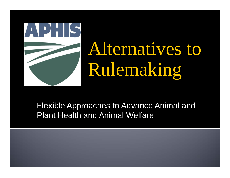

# Alternatives to Rulemaking

Flexible Approaches to Advance Animal and Plant Health and Animal Welfare

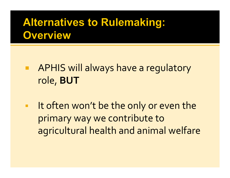### **Alternatives to Rulemaking: Overview**

- APHIS will always have <sup>a</sup> regulatory role, **BUT**
- $\blacksquare$ I It often won't be the only or even the primary way we contribute to agricultural health and animal welfare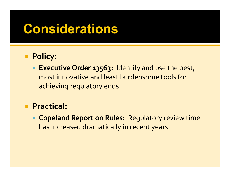# **Considerations**

#### **Policy:**

 **Executive Order 13563:** Identify and use the best, most innovative and least burdensome tools for achieving regulatory ends

#### **Practical:**

 **Copeland Report on Rules:** Regulatory review time has increased dramatically in recent years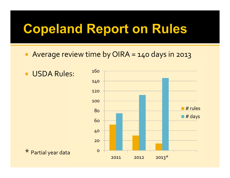# **Copeland Report on Rules**

Average review time by OIRA <sup>=</sup> 140 days in 2013

**USDA Rules:** 

\* Partial year data

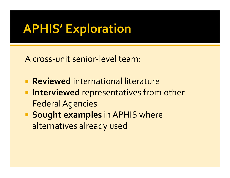# **APHIS' Exploration**

A cross-unit senior-level team:

- **Reviewed** international literature
- **Interviewed** representatives from other **Federal Agencies**
- **Sought examples in APHIS where** alternatives already used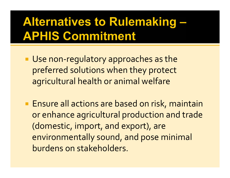# **Alternatives to Rulemaking -APHIS Commitment**

- Use non-regulatory approaches as the preferred solutions when they protect agricultural health or animal welfare
- **Ensure all actions are based on risk, maintain** or enhance agricultural production and trade (domestic, import, and export), are environmentally sound, and pose minimal burdens on stakeholders.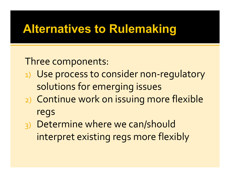### **Alternatives to Rulemaking**

Three components:

- 1) Use process to consider non-regulatory solutions for emerging issues
- 2) Continue work on issuing more flexible regs
- 3) Determine where we can/should interpret existing regs more flexibly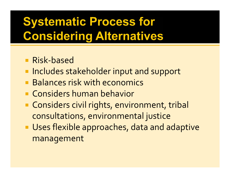# **Systematic Process for Considering Alternatives**

- Risk-based
- **Includes stakeholder input and support**
- **Balances risk with economics**
- **E.** Considers human behavior
- **Considers civil rights, environment, tribal** consultations, environmental justice
- **Uses flexible approaches, data and adaptive** management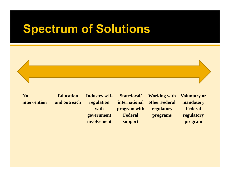### **Spectrum of Solutions**

**No intervention**

**Education and outreach** **Industry selfregulation with government involvement**

**State/local/ international program with Federal support**

**Working with other Federal regulatory programs**

**Voluntary or mandatory Federal regulatory program**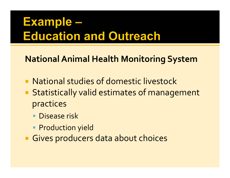# Example -**Education and Outreach**

**National Animal Health Monitoring System** 

- National studies of domestic livestock
- Statistically valid estimates of management practices
	- Disease risk
	- Production yield
- Gives producers data about choices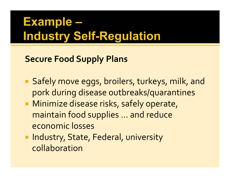# **Example -Industry Self-Regulation**

#### **Secure Food Supply Plans**

- Safely move eggs, broilers, turkeys, milk, and pork during disease outbreaks/quarantines
- **Minimize disease risks, safely operate,** maintain food supplies … and reduce economic losses
- **Industry, State, Federal, university** collaboration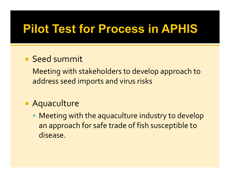## **Pilot Test for Process in APHIS**

#### **Seed summit**

Meeting with stakeholders to develop approach to address seed imports and virus risks

#### **Aquaculture**

 Meeting with the aquaculture industry to develop an approach for safe trade of fish susceptible to disease.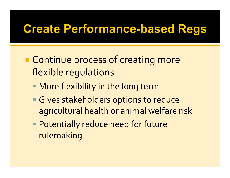### **Create Performance-based Regs**

- **Example 20 Feromana Process of creating more** flexible regulations
	- More flexibility in the long term
	- **Gives stakeholders options to reduce** agricultural health or animal welfare risk
	- **Potentially reduce need for future** rulemaking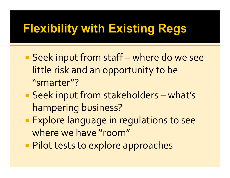# **Flexibility with Existing Regs**

- Seek input from staff where do we see little risk and an opportunity to be "smarter"?
- Seek input from stakeholders what's hampering business?
- **Explore language in regulations to see** where we have "room"
- **Pilot tests to explore approaches**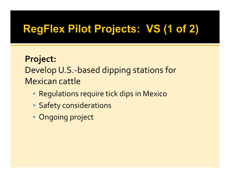### **RegFlex Pilot Projects: VS (1 of 2)**

#### **Project:** Develop U.S.‐based dipping stations for Mexican cattle

- Regulations require tick dips in Mexico
- **Safety considerations**
- **Ongoing project**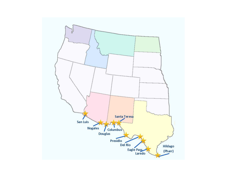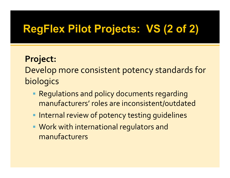### **RegFlex Pilot Projects: VS (2 of 2)**

#### **Project:**

Develop more consistent potency standards for **biologics** 

- Regulations and policy documents regarding manufacturers' roles are inconsistent/outdated
- **Internal review of potency testing guidelines**
- Work with international regulators and manufacturers